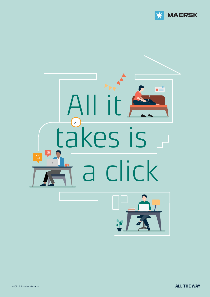



©2021 A.P.Moller - Maersk **ALL THE WAY**